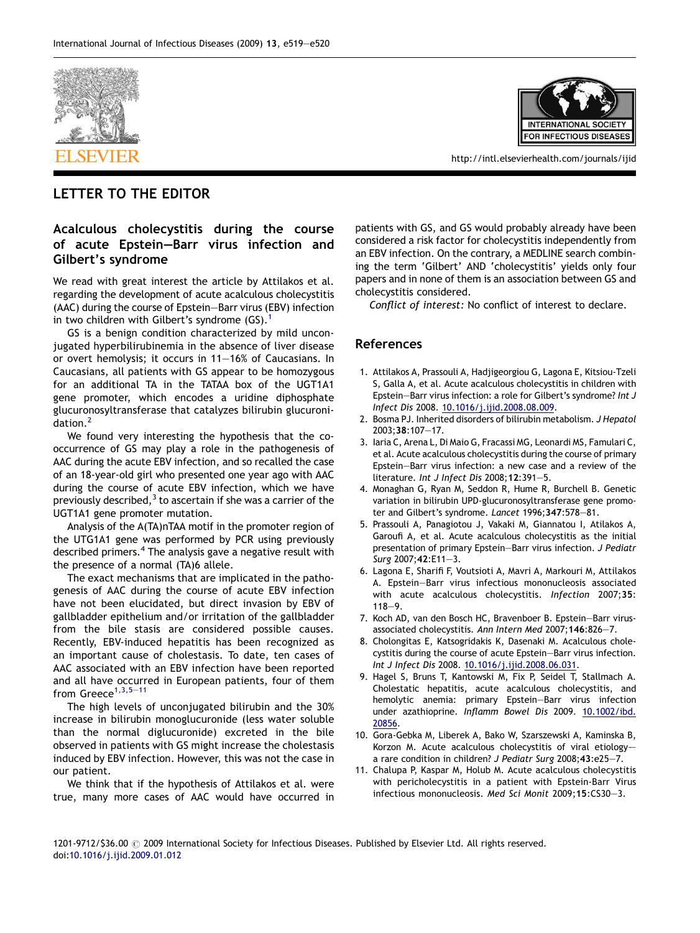



http://intl.elsevierhealth.com/journals/ijid

## LETTER TO THE EDITOR

## Acalculous cholecystitis during the course of acute Epstein—Barr virus infection and Gilbert's syndrome

We read with great interest the article by Attilakos et al. regarding the development of acute acalculous cholecystitis (AAC) during the course of Epstein—Barr virus (EBV) infection in two children with Gilbert's syndrome  $(GS)$ .<sup>1</sup>

GS is a benign condition characterized by mild unconjugated hyperbilirubinemia in the absence of liver disease or overt hemolysis; it occurs in 11—16% of Caucasians. In Caucasians, all patients with GS appear to be homozygous for an additional TA in the TATAA box of the UGT1A1 gene promoter, which encodes a uridine diphosphate glucuronosyltransferase that catalyzes bilirubin glucuronidation.<sup>2</sup>

We found very interesting the hypothesis that the cooccurrence of GS may play a role in the pathogenesis of AAC during the acute EBV infection, and so recalled the case of an 18-year-old girl who presented one year ago with AAC during the course of acute EBV infection, which we have previously described, $3$  to ascertain if she was a carrier of the UGT1A1 gene promoter mutation.

Analysis of the A(TA)nTAA motif in the promoter region of the UTG1A1 gene was performed by PCR using previously described primers.<sup>4</sup> The analysis gave a negative result with the presence of a normal (TA)6 allele.

The exact mechanisms that are implicated in the pathogenesis of AAC during the course of acute EBV infection have not been elucidated, but direct invasion by EBV of gallbladder epithelium and/or irritation of the gallbladder from the bile stasis are considered possible causes. Recently, EBV-induced hepatitis has been recognized as an important cause of cholestasis. To date, ten cases of AAC associated with an EBV infection have been reported and all have occurred in European patients, four of them from  $G$ reece $^{1,3,5-11}$ 

The high levels of unconjugated bilirubin and the 30% increase in bilirubin monoglucuronide (less water soluble than the normal diglucuronide) excreted in the bile observed in patients with GS might increase the cholestasis induced by EBV infection. However, this was not the case in our patient.

We think that if the hypothesis of Attilakos et al. were true, many more cases of AAC would have occurred in patients with GS, and GS would probably already have been considered a risk factor for cholecystitis independently from an EBV infection. On the contrary, a MEDLINE search combining the term 'Gilbert' AND 'cholecystitis' yields only four papers and in none of them is an association between GS and cholecystitis considered.

Conflict of interest: No conflict of interest to declare.

## References

- 1. Attilakos A, Prassouli A, Hadjigeorgiou G, Lagona E, Kitsiou-Tzeli S, Galla A, et al. Acute acalculous cholecystitis in children with Epstein—Barr virus infection: a role for Gilbert's syndrome? Int J Infect Dis 2008[.](http://dx.doi.org/10.1016/j.ijid.2008.08.009) [10.1016/j.ijid.2008.08.009.](http://dx.doi.org/10.1016/j.ijid.2008.08.009)
- 2. Bosma PJ. Inherited disorders of bilirubin metabolism. J Hepatol 2003;38:107—17.
- 3. Iaria C, Arena L, Di Maio G, Fracassi MG, Leonardi MS, Famulari C, et al. Acute acalculous cholecystitis during the course of primary Epstein—Barr virus infection: a new case and a review of the literature. Int J Infect Dis 2008;12:391—5.
- 4. Monaghan G, Ryan M, Seddon R, Hume R, Burchell B. Genetic variation in bilirubin UPD-glucuronosyltransferase gene promoter and Gilbert's syndrome. Lancet 1996;347:578—81.
- 5. Prassouli A, Panagiotou J, Vakaki M, Giannatou I, Atilakos A, Garoufi A, et al. Acute acalculous cholecystitis as the initial presentation of primary Epstein—Barr virus infection. J Pediatr Surg 2007;42:E11—3.
- 6. Lagona E, Sharifi F, Voutsioti A, Mavri A, Markouri M, Attilakos A. Epstein—Barr virus infectious mononucleosis associated with acute acalculous cholecystitis. Infection 2007;35: 118—9.
- 7. Koch AD, van den Bosch HC, Bravenboer B. Epstein—Barr virusassociated cholecystitis. Ann Intern Med 2007;146:826—7.
- 8. Cholongitas E, Katsogridakis K, Dasenaki M. Acalculous cholecystitis during the course of acute Epstein—Barr virus infection. Int J Infect Dis 2008[.](http://dx.doi.org/10.1016/j.ijid.2008.06.031) [10.1016/j.ijid.2008.06.031.](http://dx.doi.org/10.1016/j.ijid.2008.06.031)
- 9. Hagel S, Bruns T, Kantowski M, Fix P, Seidel T, Stallmach A. Cholestatic hepatitis, acute acalculous cholecystitis, and hemolytic anemia: primary Epstein—Barr virus infection under azathioprine. Inflamm Bowel Dis 2009[.](http://dx.doi.org/10.1002/ibd.          20856) [10.1002/ibd.](http://dx.doi.org/10.1002/ibd.          20856) [20856](http://dx.doi.org/10.1002/ibd.          20856).
- 10. Gora-Gebka M, Liberek A, Bako W, Szarszewski A, Kaminska B, Korzon M. Acute acalculous cholecystitis of viral etiologya rare condition in children? J Pediatr Surg 2008;43:e25—7.
- 11. Chalupa P, Kaspar M, Holub M. Acute acalculous cholecystitis with pericholecystitis in a patient with Epstein-Barr Virus infectious mononucleosis. Med Sci Monit 2009;15:CS30—3.

1201-9712/\$36.00 @ 2009 International Society for Infectious Diseases. Published by Elsevier Ltd. All rights reserved. doi[:10.1016/j.ijid.2009.01.012](http://dx.doi.org/10.1016/j.ijid.2009.01.012)